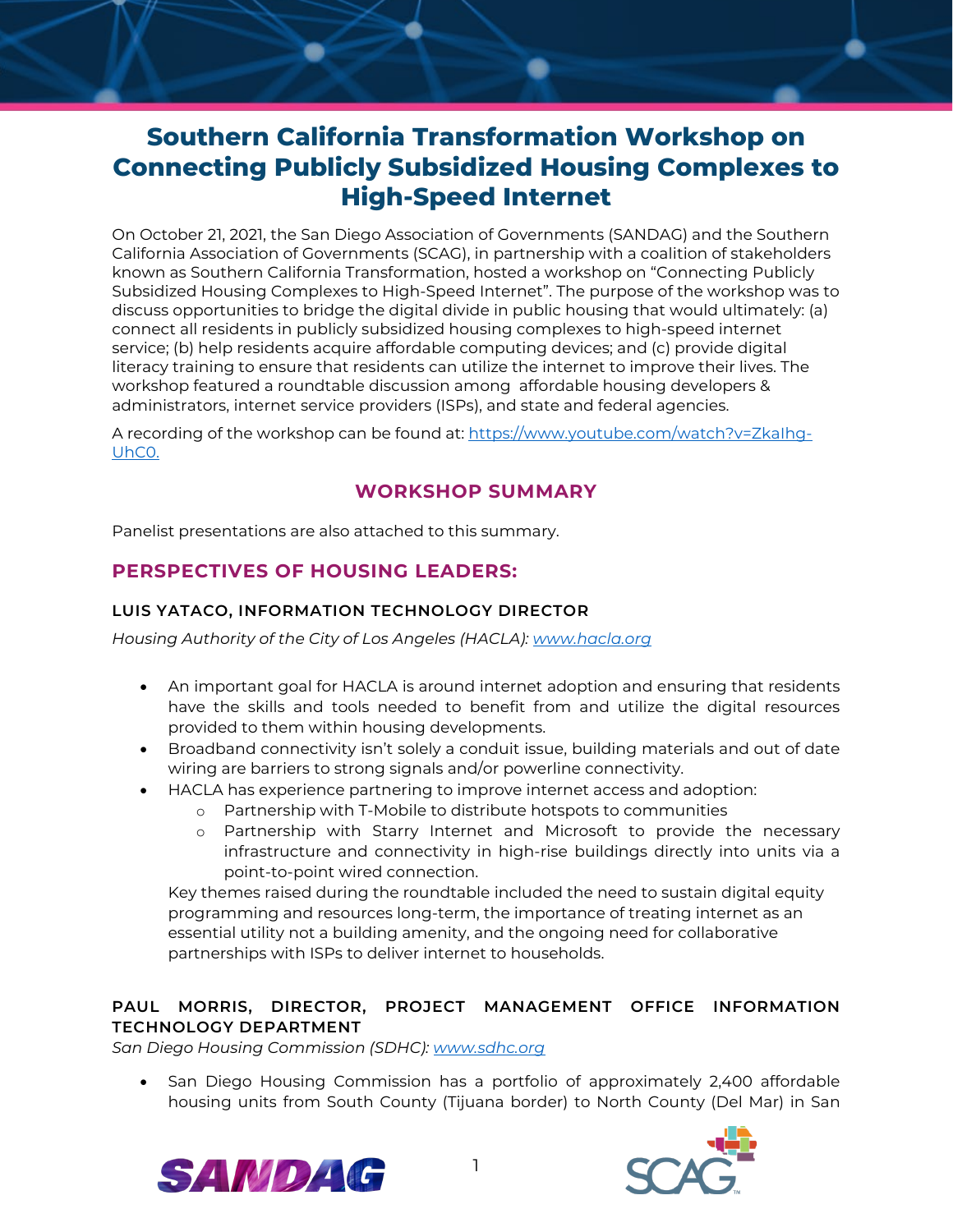# **Southern California Transformation Workshop on Connecting Publicly Subsidized Housing Complexes to High-Speed Internet**

On October 21, 2021, the San Diego Association of Governments (SANDAG) and the Southern California Association of Governments (SCAG), in partnership with a coalition of stakeholders known as Southern California Transformation, hosted a workshop on "Connecting Publicly Subsidized Housing Complexes to High-Speed Internet". The purpose of the workshop was to discuss opportunities to bridge the digital divide in public housing that would ultimately: (a) connect all residents in publicly subsidized housing complexes to high-speed internet service; (b) help residents acquire affordable computing devices; and (c) provide digital literacy training to ensure that residents can utilize the internet to improve their lives. The workshop featured a roundtable discussion among affordable housing developers & administrators, internet service providers (ISPs), and state and federal agencies.

A recording of the workshop can be found at: [https://www.youtube.com/watch?v=ZkaIhg-](https://www.youtube.com/watch?v=ZkaIhg-UhC0)[UhC0.](https://www.youtube.com/watch?v=ZkaIhg-UhC0) 

# **WORKSHOP SUMMARY**

Panelist presentations are also attached to this summary.

# **PERSPECTIVES OF HOUSING LEADERS:**

# **LUIS YATACO, INFORMATION TECHNOLOGY DIRECTOR**

*Housing Authority of the City of Los Angeles (HACLA): [www.hacla.org](https://sandag.sharepoint.com/sites/MobilityandInnovation2/Shared%20Documents/General/Digital%20Equity/SoCal-SCAG%20Coordination/SoCal%20Transformation%20Meetings/www.hacla.org)*

- An important goal for HACLA is around internet adoption and ensuring that residents have the skills and tools needed to benefit from and utilize the digital resources provided to them within housing developments.
- Broadband connectivity isn't solely a conduit issue, building materials and out of date wiring are barriers to strong signals and/or powerline connectivity.
- HACLA has experience partnering to improve internet access and adoption:
	- o Partnership with T-Mobile to distribute hotspots to communities
		- o Partnership with Starry Internet and Microsoft to provide the necessary infrastructure and connectivity in high-rise buildings directly into units via a point-to-point wired connection.

Key themes raised during the roundtable included the need to sustain digital equity programming and resources long-term, the importance of treating internet as an essential utility not a building amenity, and the ongoing need for collaborative partnerships with ISPs to deliver internet to households.

# **PAUL MORRIS, DIRECTOR, PROJECT MANAGEMENT OFFICE INFORMATION TECHNOLOGY DEPARTMENT**

*San Diego Housing Commission (SDHC): [www.sdhc.org](http://www.sdhc.org/)*

• San Diego Housing Commission has a portfolio of approximately 2,400 affordable housing units from South County (Tijuana border) to North County (Del Mar) in San



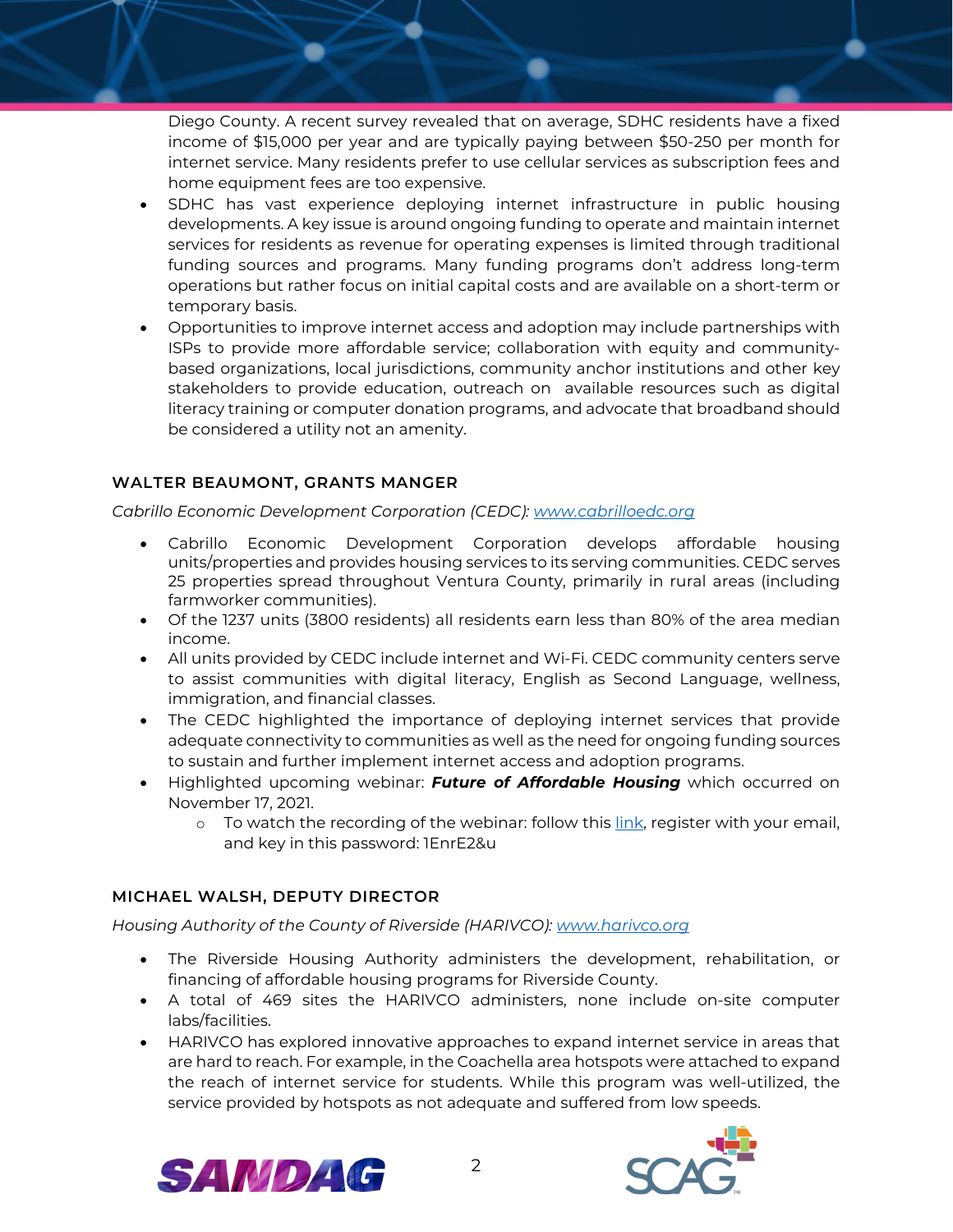Diego County. A recent survey revealed that on average, SDHC residents have a fixed income of \$15,000 per year and are typically paying between \$50-250 per month for internet service. Many residents prefer to use cellular services as subscription fees and home equipment fees are too expensive.

- SDHC has vast experience deploying internet infrastructure in public housing developments. A key issue is around ongoing funding to operate and maintain internet services for residents as revenue for operating expenses is limited through traditional funding sources and programs. Many funding programs don't address long-term operations but rather focus on initial capital costs and are available on a short-term or temporary basis.
- Opportunities to improve internet access and adoption may include partnerships with ISPs to provide more affordable service; collaboration with equity and communitybased organizations, local jurisdictions, community anchor institutions and other key stakeholders to provide education, outreach on available resources such as digital literacy training or computer donation programs, and advocate that broadband should be considered a utility not an amenity.

# **WALTER BEAUMONT, GRANTS MANGER**

*Cabrillo Economic Development Corporation (CEDC): [www.cabrilloedc.org](http://www.cabrilloedc.org/)*

- Cabrillo Economic Development Corporation develops affordable housing units/properties and provides housing services to its serving communities. CEDC serves 25 properties spread throughout Ventura County, primarily in rural areas (including farmworker communities).
- Of the 1237 units (3800 residents) all residents earn less than 80% of the area median income.
- All units provided by CEDC include internet and Wi-Fi. CEDC community centers serve to assist communities with digital literacy, English as Second Language, wellness, immigration, and financial classes.
- The CEDC highlighted the importance of deploying internet services that provide adequate connectivity to communities as well as the need for ongoing funding sources to sustain and further implement internet access and adoption programs.
- Highlighted upcoming webinar: *Future of Affordable Housing* which occurred on November 17, 2021.
	- o To watch the recording of the webinar: follow this [link,](https://us02web.zoom.us/webinar/register/rec/WN_lSoCh0XWQ_qaRfMhlO5caQ?meetingId=YgV5k8okU2Hv8sWElsnd5HuimC6FGX-Vkt5qV9CPo-XYcXk8yc2JbU_KG_3yOsB7.Qqu-KpRe-CE0uAPH&playId=&action=play&_x_zm_rtaid=ozgmXKjwQxS1glh1CzihWw.1637267518770.1666bc554f1789b04306eed81574d9b1&_x_zm_rhtaid=602) register with your email, and key in this password: 1EnrE2&u

# **MICHAEL WALSH, DEPUTY DIRECTOR**

*Housing Authority of the County of Riverside (HARIVCO)[: www.harivco.org](https://harivco.org/)*

- The Riverside Housing Authority administers the development, rehabilitation, or financing of affordable housing programs for Riverside County.
- A total of 469 sites the HARIVCO administers, none include on-site computer labs/facilities.
- HARIVCO has explored innovative approaches to expand internet service in areas that are hard to reach. For example, in the Coachella area hotspots were attached to expand the reach of internet service for students. While this program was well-utilized, the service provided by hotspots as not adequate and suffered from low speeds.



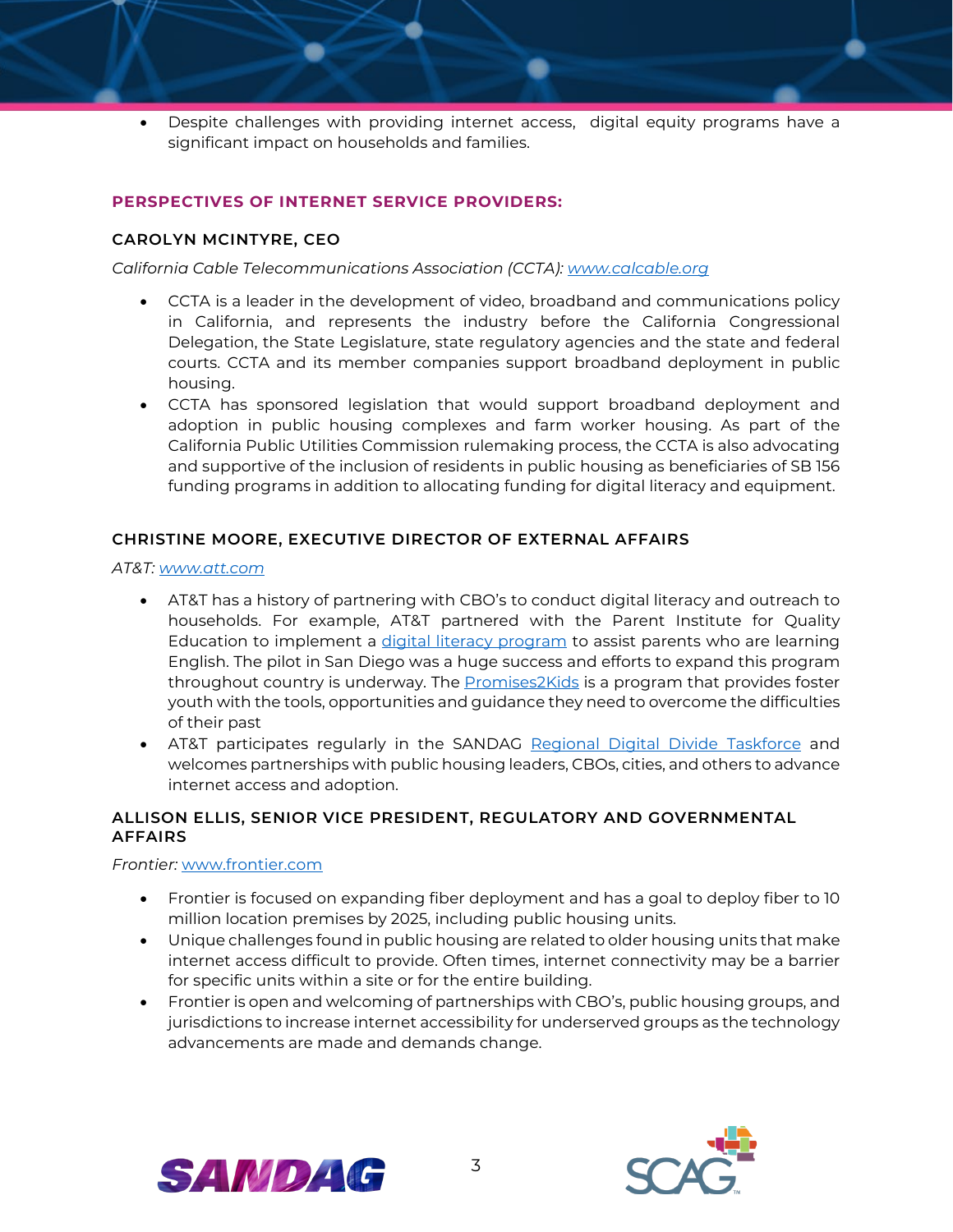• Despite challenges with providing internet access, digital equity programs have a significant impact on households and families.

#### **PERSPECTIVES OF INTERNET SERVICE PROVIDERS:**

#### **CAROLYN MCINTYRE, CEO**

*California Cable Telecommunications Association (CCTA): [www.calcable.org](http://www.calcable.org/)*

- CCTA is a leader in the development of video, broadband and communications policy in California, and represents the industry before the California Congressional Delegation, the State Legislature, state regulatory agencies and the state and federal courts. CCTA and its member companies support broadband deployment in public housing.
- CCTA has sponsored legislation that would support broadband deployment and adoption in public housing complexes and farm worker housing. As part of the California Public Utilities Commission rulemaking process, the CCTA is also advocating and supportive of the inclusion of residents in public housing as beneficiaries of SB 156 funding programs in addition to allocating funding for digital literacy and equipment.

# **CHRISTINE MOORE, EXECUTIVE DIRECTOR OF EXTERNAL AFFAIRS**

*AT&T: [www.att.com](https://www.att.com/)*

- AT&T has a history of partnering with CBO's to conduct digital literacy and outreach to households. For example, AT&T partnered with the Parent Institute for Quality Education to implement a [digital literacy program](https://www.piqe.org/att-contributes-100k-to-piqe-for-distance-learning/) to assist parents who are learning English. The pilot in San Diego was a huge success and efforts to expand this program throughout country is underway. The Promises 2Kids is a program that provides foster youth with the tools, opportunities and guidance they need to overcome the difficulties of their past
- AT&T participates regularly in the SANDAG [Regional Digital Divide Taskforce](https://www.sandag.org/index.asp?committeeid=124&fuseaction=committees.detail) and welcomes partnerships with public housing leaders, CBOs, cities, and others to advance internet access and adoption.

# **ALLISON ELLIS, SENIOR VICE PRESIDENT, REGULATORY AND GOVERNMENTAL AFFAIRS**

*Frontier:* [www.frontier.com](http://www.frontier.com/)

- Frontier is focused on expanding fiber deployment and has a goal to deploy fiber to 10 million location premises by 2025, including public housing units.
- Unique challenges found in public housing are related to older housing units that make internet access difficult to provide. Often times, internet connectivity may be a barrier for specific units within a site or for the entire building.
- Frontier is open and welcoming of partnerships with CBO's, public housing groups, and jurisdictions to increase internet accessibility for underserved groups as the technology advancements are made and demands change.



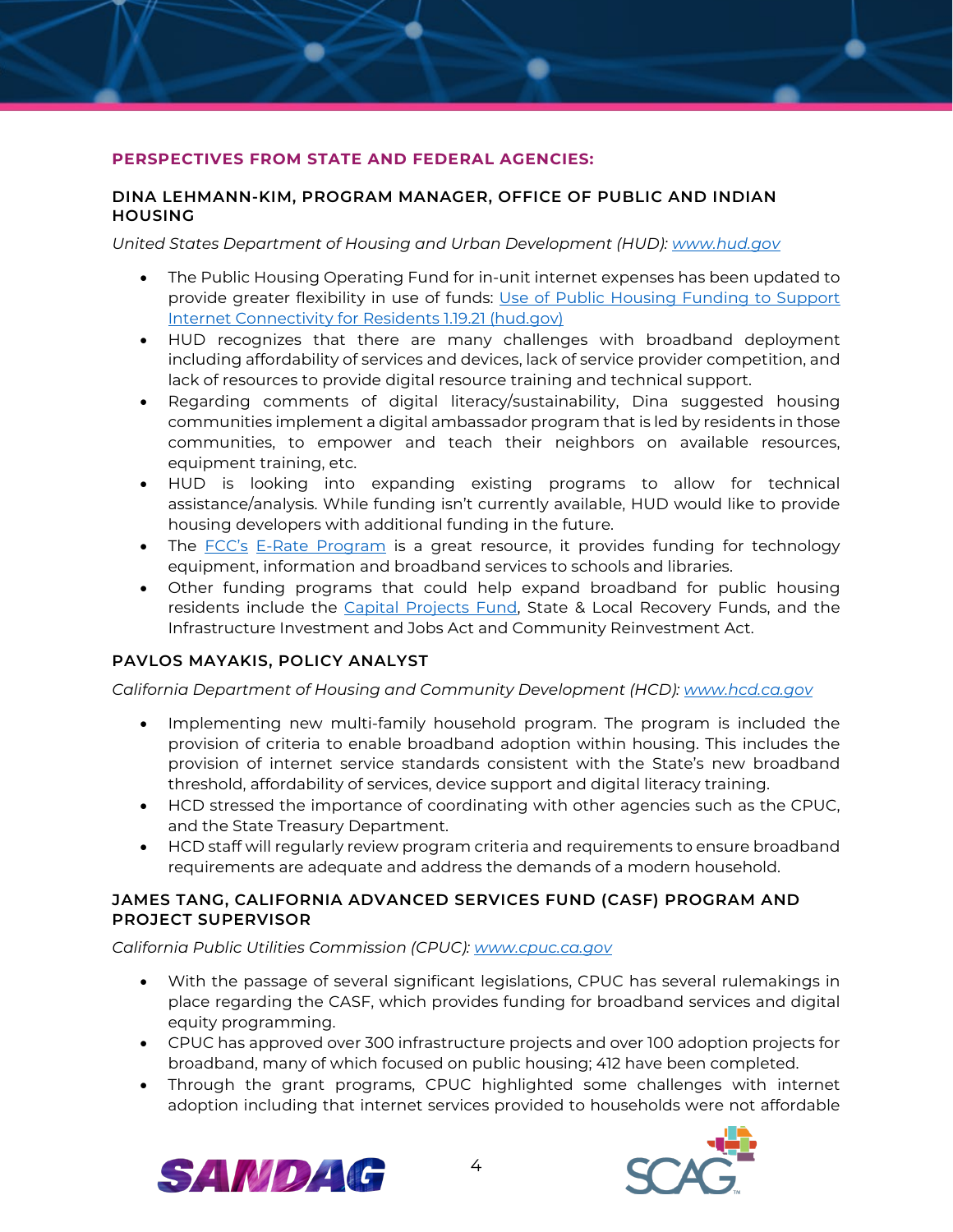### **PERSPECTIVES FROM STATE AND FEDERAL AGENCIES:**

#### **DINA LEHMANN-KIM, PROGRAM MANAGER, OFFICE OF PUBLIC AND INDIAN HOUSING**

*United States Department of Housing and Urban Development (HUD): [www.hud.gov](http://www.hud.gov/)*

- The Public Housing Operating Fund for in-unit internet expenses has been updated to provide greater flexibility in use of funds: [Use of Public Housing Funding to Support](https://www.hud.gov/sites/dfiles/PIH/documents/PublicHousingFundingSupportInternetConnectivityResidents.pdf)  [Internet Connectivity for Residents 1.19.21 \(hud.gov\)](https://www.hud.gov/sites/dfiles/PIH/documents/PublicHousingFundingSupportInternetConnectivityResidents.pdf)
- HUD recognizes that there are many challenges with broadband deployment including affordability of services and devices, lack of service provider competition, and lack of resources to provide digital resource training and technical support.
- Regarding comments of digital literacy/sustainability, Dina suggested housing communities implement a digital ambassador program that is led by residents in those communities, to empower and teach their neighbors on available resources, equipment training, etc.
- HUD is looking into expanding existing programs to allow for technical assistance/analysis. While funding isn't currently available, HUD would like to provide housing developers with additional funding in the future.
- The [FCC's](https://www.fcc.gov/consumers/guides/universal-service-program-schools-and-libraries-e-rate#:%7E:text=The%20FCC%27s%20E-Rate%20program%20makes%20telecommunications%20and%20information,and%20internal%20connections%20to%20eligible%20schools%20and%20libraries.) [E-Rate Program](https://www.usac.org/wp-content/uploads/e-rate/documents/Handouts/E-rate-Overview.pdf#:%7E:text=The%20E-rate%20Program%20supports%20connectivity%2C%20which%20is%20the,effectively%20use%20the%20requested%20eligible%20services%20and%20equipment.) is a great resource, it provides funding for technology equipment, information and broadband services to schools and libraries.
- Other funding programs that could help expand broadband for public housing residents include the [Capital Projects Fund,](https://home.treasury.gov/policy-issues/coronavirus/assistance-for-state-local-and-tribal-governments/capital-projects-fund) State & Local Recovery Funds, and the Infrastructure Investment and Jobs Act and Community Reinvestment Act.

# **PAVLOS MAYAKIS, POLICY ANALYST**

*California Department of Housing and Community Development (HCD): [www.hcd.ca.gov](http://www.hcd.ca.gov/)*

- Implementing new multi-family household program. The program is included the provision of criteria to enable broadband adoption within housing. This includes the provision of internet service standards consistent with the State's new broadband threshold, affordability of services, device support and digital literacy training.
- HCD stressed the importance of coordinating with other agencies such as the CPUC, and the State Treasury Department.
- HCD staff will regularly review program criteria and requirements to ensure broadband requirements are adequate and address the demands of a modern household.

#### **JAMES TANG, CALIFORNIA ADVANCED SERVICES FUND (CASF) PROGRAM AND PROJECT SUPERVISOR**

*California Public Utilities Commission (CPUC): [www.cpuc.ca.gov](http://www.cpuc.ca.gov/)*

- With the passage of several significant legislations, CPUC has several rulemakings in place regarding the CASF, which provides funding for broadband services and digital equity programming.
- CPUC has approved over 300 infrastructure projects and over 100 adoption projects for broadband, many of which focused on public housing; 412 have been completed.
- Through the grant programs, CPUC highlighted some challenges with internet adoption including that internet services provided to households were not affordable